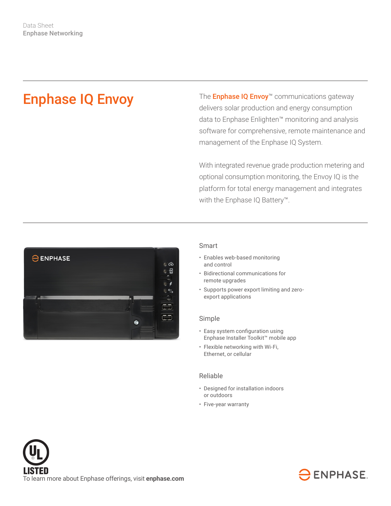# Enphase IQ Envoy

The **Enphase IQ Envoy**<sup>™</sup> communications gateway delivers solar production and energy consumption data to Enphase Enlighten™ monitoring and analysis software for comprehensive, remote maintenance and management of the Enphase IQ System.

With integrated revenue grade production metering and optional consumption monitoring, the Envoy IQ is the platform for total energy management and integrates with the Enphase IQ Battery™.



## Smart

- Enables web-based monitoring and control
- Bidirectional communications for remote upgrades
- Supports power export limiting and zeroexport applications

#### Simple

- Easy system configuration using Enphase Installer Toolkit™ mobile app
- Flexible networking with Wi-Fi, Ethernet, or cellular

# Reliable

- Designed for installation indoors or outdoors
- Five-year warranty